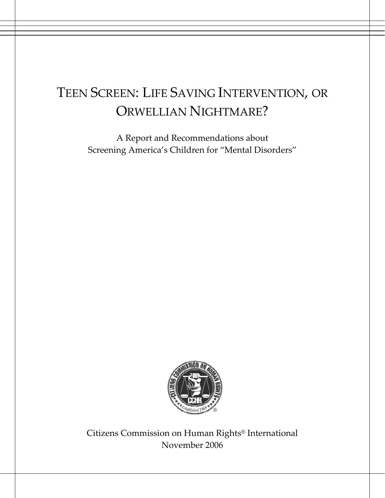# TEEN SCREEN: LIFE SAVING INTERVENTION, OR ORWELLIAN NIGHTMARE?

A Report and Recommendations about Screening America's Children for "Mental Disorders"



Citizens Commission on Human Rights® International November 2006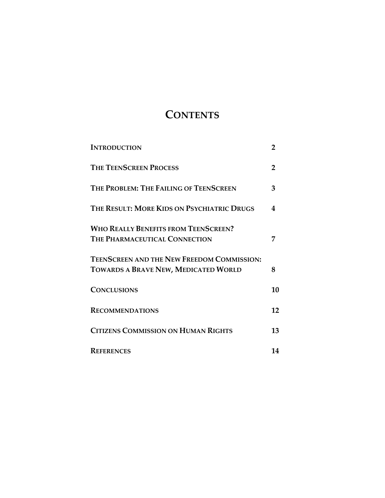## **CONTENTS**

| <b>INTRODUCTION</b>                                                                       | $\overline{2}$ |
|-------------------------------------------------------------------------------------------|----------------|
| <b>THE TEENSCREEN PROCESS</b>                                                             | $\overline{2}$ |
| THE PROBLEM: THE FAILING OF TEENSCREEN                                                    | 3              |
| THE RESULT: MORE KIDS ON PSYCHIATRIC DRUGS                                                | 4              |
| <b>WHO REALLY BENEFITS FROM TEENSCREEN?</b><br><b>THE PHARMACEUTICAL CONNECTION</b>       | 7              |
| TEENSCREEN AND THE NEW FREEDOM COMMISSION:<br><b>TOWARDS A BRAVE NEW, MEDICATED WORLD</b> | 8              |
| <b>CONCLUSIONS</b>                                                                        | 10             |
| <b>RECOMMENDATIONS</b>                                                                    | 12             |
| <b>CITIZENS COMMISSION ON HUMAN RIGHTS</b>                                                | 13             |
| <b>REFERENCES</b>                                                                         | 14             |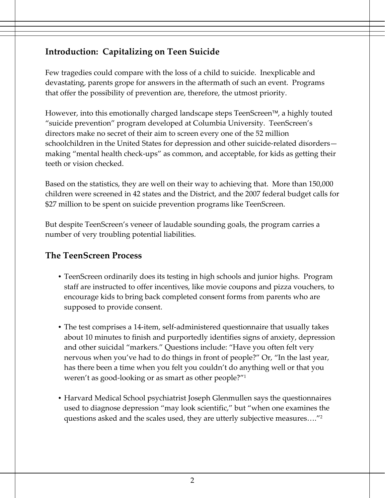## **Introduction: Capitalizing on Teen Suicide**

Few tragedies could compare with the loss of a child to suicide. Inexplicable and devastating, parents grope for answers in the aftermath of such an event. Programs that offer the possibility of prevention are, therefore, the utmost priority.

However, into this emotionally charged landscape steps TeenScreen™, a highly touted "suicide prevention" program developed at Columbia University. TeenScreen's directors make no secret of their aim to screen every one of the 52 million schoolchildren in the United States for depression and other suicide-related disorders making "mental health check-ups" as common, and acceptable, for kids as getting their teeth or vision checked.

Based on the statistics, they are well on their way to achieving that. More than 150,000 children were screened in 42 states and the District, and the 2007 federal budget calls for \$27 million to be spent on suicide prevention programs like TeenScreen.

But despite TeenScreen's veneer of laudable sounding goals, the program carries a number of very troubling potential liabilities.

#### **The TeenScreen Process**

- TeenScreen ordinarily does its testing in high schools and junior highs. Program staff are instructed to offer incentives, like movie coupons and pizza vouchers, to encourage kids to bring back completed consent forms from parents who are supposed to provide consent.
- The test comprises a 14-item, self-administered questionnaire that usually takes about 10 minutes to finish and purportedly identifies signs of anxiety, depression and other suicidal "markers." Questions include: "Have you often felt very nervous when you've had to do things in front of people?" Or, "In the last year, has there been a time when you felt you couldn't do anything well or that you weren't as good‐looking or as smart as other people?"1
- Harvard Medical School psychiatrist Joseph Glenmullen says the questionnaires used to diagnose depression "may look scientific," but "when one examines the questions asked and the scales used, they are utterly subjective measures…."2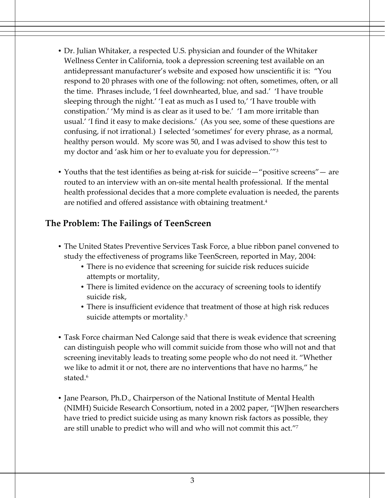- Dr. Julian Whitaker, a respected U.S. physician and founder of the Whitaker Wellness Center in California, took a depression screening test available on an antidepressant manufacturer's website and exposed how unscientific it is: "You respond to 20 phrases with one of the following: not often, sometimes, often, or all the time. Phrases include, 'I feel downhearted, blue, and sad.' 'I have trouble sleeping through the night.' 'I eat as much as I used to,' 'I have trouble with constipation.' 'My mind is as clear as it used to be.' 'I am more irritable than usual.' 'I find it easy to make decisions.' (As you see, some of these questions are confusing, if not irrational.) I selected 'sometimes' for every phrase, as a normal, healthy person would. My score was 50, and I was advised to show this test to my doctor and 'ask him or her to evaluate you for depression.'"3
- Youths that the test identifies as being at-risk for suicide—"positive screens"— are routed to an interview with an on‐site mental health professional. If the mental health professional decides that a more complete evaluation is needed, the parents are notified and offered assistance with obtaining treatment.<sup>4</sup>

#### **The Problem: The Failings of TeenScreen**

- The United States Preventive Services Task Force, a blue ribbon panel convened to study the effectiveness of programs like TeenScreen, reported in May, 2004:
	- There is no evidence that screening for suicide risk reduces suicide attempts or mortality,
	- There is limited evidence on the accuracy of screening tools to identify suicide risk,
	- There is insufficient evidence that treatment of those at high risk reduces suicide attempts or mortality.<sup>5</sup>
- Task Force chairman Ned Calonge said that there is weak evidence that screening can distinguish people who will commit suicide from those who will not and that screening inevitably leads to treating some people who do not need it. "Whether we like to admit it or not, there are no interventions that have no harms," he stated.<sup>6</sup>
- Jane Pearson, Ph.D., Chairperson of the National Institute of Mental Health (NIMH) Suicide Research Consortium, noted in a 2002 paper, "[W]hen researchers have tried to predict suicide using as many known risk factors as possible, they are still unable to predict who will and who will not commit this act."7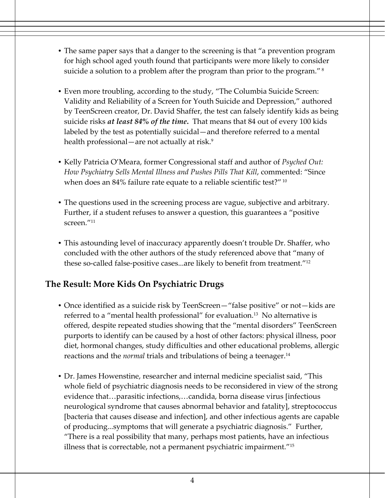- The same paper says that a danger to the screening is that "a prevention program for high school aged youth found that participants were more likely to consider suicide a solution to a problem after the program than prior to the program." <sup>8</sup>
- Even more troubling, according to the study, "The Columbia Suicide Screen: Validity and Reliability of a Screen for Youth Suicide and Depression," authored by TeenScreen creator, Dr. David Shaffer, the test can falsely identify kids as being suicide risks *at least 84% of the time***.** That means that 84 out of every 100 kids labeled by the test as potentially suicidal—and therefore referred to a mental health professional—are not actually at risk.<sup>9</sup>
- Kelly Patricia O'Meara, former Congressional staff and author of *Psyched Out: How Psychiatry Sells Mental Illness and Pushes Pills That Kill*, commented: "Since when does an 84% failure rate equate to a reliable scientific test?" <sup>10</sup>
- The questions used in the screening process are vague, subjective and arbitrary. Further, if a student refuses to answer a question, this guarantees a "positive screen<sup>"11</sup>
- This astounding level of inaccuracy apparently doesn't trouble Dr. Shaffer, who concluded with the other authors of the study referenced above that "many of these so-called false-positive cases...are likely to benefit from treatment."<sup>12</sup>

### **The Result: More Kids On Psychiatric Drugs**

- Once identified as a suicide risk by TeenScreen—"false positive" or not—kids are referred to a "mental health professional" for evaluation.13 No alternative is offered, despite repeated studies showing that the "mental disorders" TeenScreen purports to identify can be caused by a host of other factors: physical illness, poor diet, hormonal changes, study difficulties and other educational problems, allergic reactions and the *normal* trials and tribulations of being a teenager.<sup>14</sup>
- Dr. James Howenstine, researcher and internal medicine specialist said, "This whole field of psychiatric diagnosis needs to be reconsidered in view of the strong evidence that…parasitic infections,…candida, borna disease virus [infectious neurological syndrome that causes abnormal behavior and fatality], streptococcus [bacteria that causes disease and infection], and other infectious agents are capable of producing...symptoms that will generate a psychiatric diagnosis." Further, "There is a real possibility that many, perhaps most patients, have an infectious illness that is correctable, not a permanent psychiatric impairment."15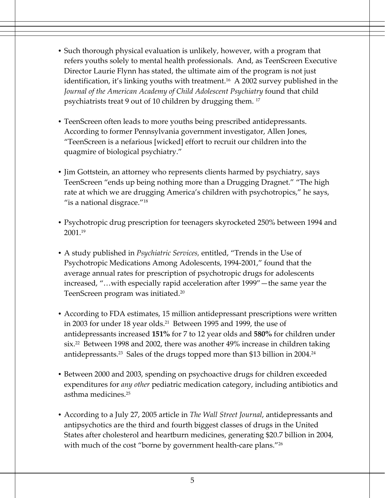- Such thorough physical evaluation is unlikely, however, with a program that refers youths solely to mental health professionals. And, as TeenScreen Executive Director Laurie Flynn has stated, the ultimate aim of the program is not just identification, it's linking youths with treatment.<sup>16</sup> A 2002 survey published in the *Journal of the American Academy of Child Adolescent Psychiatry* found that child psychiatrists treat 9 out of 10 children by drugging them. <sup>17</sup>
- TeenScreen often leads to more youths being prescribed antidepressants. According to former Pennsylvania government investigator, Allen Jones, "TeenScreen is a nefarious [wicked] effort to recruit our children into the quagmire of biological psychiatry."
- Jim Gottstein, an attorney who represents clients harmed by psychiatry, says TeenScreen "ends up being nothing more than a Drugging Dragnet." "The high rate at which we are drugging America's children with psychotropics," he says, "is a national disgrace."18
- Psychotropic drug prescription for teenagers skyrocketed 250% between 1994 and 2001.19
- A study published in *Psychiatric Services,* entitled, "Trends in the Use of Psychotropic Medications Among Adolescents, 1994‐2001," found that the average annual rates for prescription of psychotropic drugs for adolescents increased, "…with especially rapid acceleration after 1999"—the same year the TeenScreen program was initiated.20
- According to FDA estimates, 15 million antidepressant prescriptions were written in 2003 for under 18 year olds.<sup>21</sup> Between 1995 and 1999, the use of antidepressants increased **151%** for 7 to 12 year olds and **580%** for children under six.22 Between 1998 and 2002, there was another 49% increase in children taking antidepressants.<sup>23</sup> Sales of the drugs topped more than \$13 billion in 2004.<sup>24</sup>
- Between 2000 and 2003, spending on psychoactive drugs for children exceeded expenditures for *any other* pediatric medication category, including antibiotics and asthma medicines.25
- According to a July 27, 2005 article in *The Wall Street Journal*, antidepressants and antipsychotics are the third and fourth biggest classes of drugs in the United States after cholesterol and heartburn medicines, generating \$20.7 billion in 2004, with much of the cost "borne by government health-care plans."<sup>26</sup>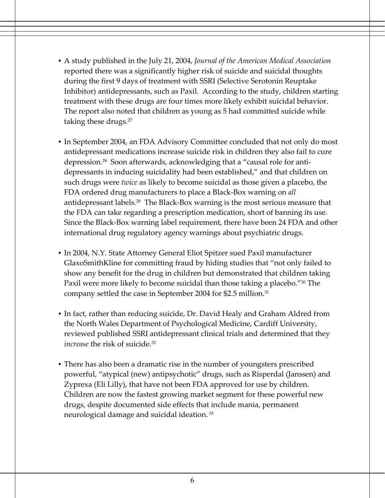- A study published in the July 21, 2004, *Journal of the American Medical Association* reported there was a significantly higher risk of suicide and suicidal thoughts during the first 9 days of treatment with SSRI (Selective Serotonin Reuptake Inhibitor) antidepressants, such as Paxil. According to the study, children starting treatment with these drugs are four times more likely exhibit suicidal behavior. The report also noted that children as young as 5 had committed suicide while taking these drugs.<sup>27</sup>
- In September 2004, an FDA Advisory Committee concluded that not only do most antidepressant medications increase suicide risk in children they also fail to cure depression.28 Soon afterwards, acknowledging that a "causal role for anti‐ depressants in inducing suicidality had been established," and that children on such drugs were *twice* as likely to become suicidal as those given a placebo, the FDA ordered drug manufacturers to place a Black‐Box warning on *all* antidepressant labels.29 The Black‐Box warning is the most serious measure that the FDA can take regarding a prescription medication, short of banning its use. Since the Black‐Box warning label requirement, there have been 24 FDA and other international drug regulatory agency warnings about psychiatric drugs.
- In 2004, N.Y. State Attorney General Eliot Spitzer sued Paxil manufacturer GlaxoSmithKline for committing fraud by hiding studies that "not only failed to show any benefit for the drug in children but demonstrated that children taking Paxil were more likely to become suicidal than those taking a placebo."<sup>30</sup> The company settled the case in September 2004 for \$2.5 million.<sup>31</sup>
- In fact, rather than reducing suicide, Dr. David Healy and Graham Aldred from the North Wales Department of Psychological Medicine, Cardiff University, reviewed published SSRI antidepressant clinical trials and determined that they *increase* the risk of suicide.<sup>32</sup>
- There has also been a dramatic rise in the number of youngsters prescribed powerful, "atypical (new) antipsychotic" drugs, such as Risperdal (Janssen) and Zyprexa (Eli Lilly), that have not been FDA approved for use by children. Children are now the fastest growing market segment for these powerful new drugs, despite documented side effects that include mania, permanent neurological damage and suicidal ideation.<sup>33</sup>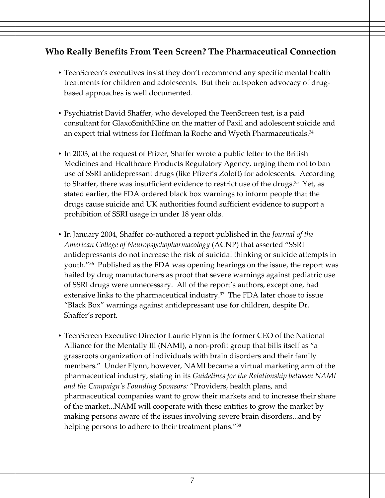#### **Who Really Benefits From Teen Screen? The Pharmaceutical Connection**

- TeenScreen's executives insist they don't recommend any specific mental health treatments for children and adolescents. But their outspoken advocacy of drugbased approaches is well documented.
- Psychiatrist David Shaffer, who developed the TeenScreen test, is a paid consultant for GlaxoSmithKline on the matter of Paxil and adolescent suicide and an expert trial witness for Hoffman la Roche and Wyeth Pharmaceuticals.<sup>34</sup>
- In 2003, at the request of Pfizer, Shaffer wrote a public letter to the British Medicines and Healthcare Products Regulatory Agency, urging them not to ban use of SSRI antidepressant drugs (like Pfizer's Zoloft) for adolescents. According to Shaffer, there was insufficient evidence to restrict use of the drugs. $35$  Yet, as stated earlier, the FDA ordered black box warnings to inform people that the drugs cause suicide and UK authorities found sufficient evidence to support a prohibition of SSRI usage in under 18 year olds.
- In January 2004, Shaffer co‐authored a report published in the *Journal of the American College of Neuropsychopharmacology* (ACNP) that asserted "SSRI antidepressants do not increase the risk of suicidal thinking or suicide attempts in youth."36 Published as the FDA was opening hearings on the issue, the report was hailed by drug manufacturers as proof that severe warnings against pediatric use of SSRI drugs were unnecessary. All of the report's authors, except one, had extensive links to the pharmaceutical industry.<sup>37</sup> The FDA later chose to issue "Black Box" warnings against antidepressant use for children, despite Dr. Shaffer's report.
- TeenScreen Executive Director Laurie Flynn is the former CEO of the National Alliance for the Mentally Ill (NAMI), a non‐profit group that bills itself as "a grassroots organization of individuals with brain disorders and their family members." Under Flynn, however, NAMI became a virtual marketing arm of the pharmaceutical industry, stating in its *Guidelines for the Relationship between NAMI and the Campaign's Founding Sponsors:* "Providers, health plans, and pharmaceutical companies want to grow their markets and to increase their share of the market...NAMI will cooperate with these entities to grow the market by making persons aware of the issues involving severe brain disorders...and by helping persons to adhere to their treatment plans."<sup>38</sup>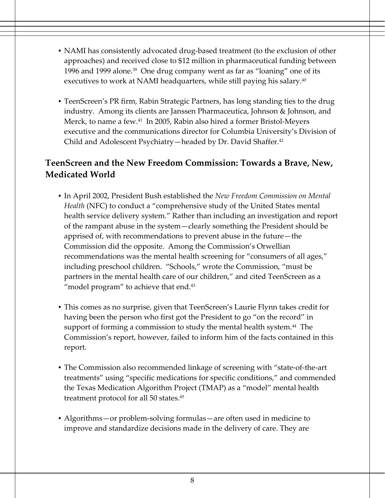- NAMI has consistently advocated drug-based treatment (to the exclusion of other approaches) and received close to \$12 million in pharmaceutical funding between 1996 and 1999 alone.<sup>39</sup> One drug company went as far as "loaning" one of its executives to work at NAMI headquarters, while still paying his salary.<sup>40</sup>
- TeenScreen's PR firm, Rabin Strategic Partners, has long standing ties to the drug industry. Among its clients are Janssen Pharmaceutica, Johnson & Johnson, and Merck, to name a few.<sup>41</sup> In 2005, Rabin also hired a former Bristol-Meyers executive and the communications director for Columbia University's Division of Child and Adolescent Psychiatry—headed by Dr. David Shaffer.<sup>42</sup>

## **TeenScreen and the New Freedom Commission: Towards a Brave, New, Medicated World**

- In April 2002, President Bush established the *New Freedom Commission on Mental Health* (NFC) to conduct a "comprehensive study of the United States mental health service delivery system." Rather than including an investigation and report of the rampant abuse in the system—clearly something the President should be apprised of, with recommendations to prevent abuse in the future—the Commission did the opposite. Among the Commission's Orwellian recommendations was the mental health screening for "consumers of all ages," including preschool children. "Schools," wrote the Commission, "must be partners in the mental health care of our children," and cited TeenScreen as a "model program" to achieve that end.<sup>43</sup>
- This comes as no surprise, given that TeenScreen's Laurie Flynn takes credit for having been the person who first got the President to go "on the record" in support of forming a commission to study the mental health system.<sup>44</sup> The Commission's report, however, failed to inform him of the facts contained in this report.
- The Commission also recommended linkage of screening with "state-of-the-art" treatments" using "specific medications for specific conditions," and commended the Texas Medication Algorithm Project (TMAP) as a "model" mental health treatment protocol for all 50 states.45
- Algorithms—or problem-solving formulas—are often used in medicine to improve and standardize decisions made in the delivery of care. They are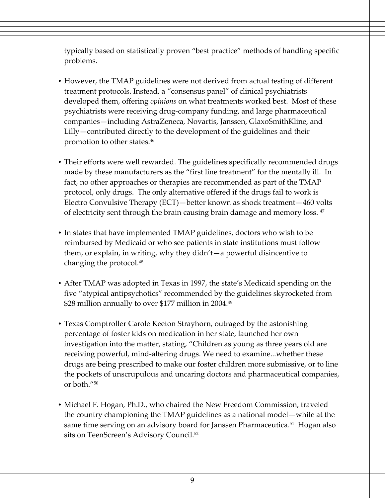typically based on statistically proven "best practice" methods of handling specific problems.

- However, the TMAP guidelines were not derived from actual testing of different treatment protocols. Instead, a "consensus panel" of clinical psychiatrists developed them, offering *opinions* on what treatments worked best. Most of these psychiatrists were receiving drug‐company funding, and large pharmaceutical companies—including AstraZeneca, Novartis, Janssen, GlaxoSmithKline, and Lilly—contributed directly to the development of the guidelines and their promotion to other states.46
- Their efforts were well rewarded. The guidelines specifically recommended drugs made by these manufacturers as the "first line treatment" for the mentally ill. In fact, no other approaches or therapies are recommended as part of the TMAP protocol, only drugs. The only alternative offered if the drugs fail to work is Electro Convulsive Therapy (ECT)—better known as shock treatment—460 volts of electricity sent through the brain causing brain damage and memory loss. <sup>47</sup>
- In states that have implemented TMAP guidelines, doctors who wish to be reimbursed by Medicaid or who see patients in state institutions must follow them, or explain, in writing, why they didn't—a powerful disincentive to changing the protocol.<sup>48</sup>
- After TMAP was adopted in Texas in 1997, the state's Medicaid spending on the five "atypical antipsychotics" recommended by the guidelines skyrocketed from \$28 million annually to over \$177 million in 2004.<sup>49</sup>
- Texas Comptroller Carole Keeton Strayhorn, outraged by the astonishing percentage of foster kids on medication in her state, launched her own investigation into the matter, stating, "Children as young as three years old are receiving powerful, mind‐altering drugs. We need to examine...whether these drugs are being prescribed to make our foster children more submissive, or to line the pockets of unscrupulous and uncaring doctors and pharmaceutical companies, or both."50
- Michael F. Hogan, Ph.D., who chaired the New Freedom Commission, traveled the country championing the TMAP guidelines as a national model—while at the same time serving on an advisory board for Janssen Pharmaceutica.<sup>51</sup> Hogan also sits on TeenScreen's Advisory Council.<sup>52</sup>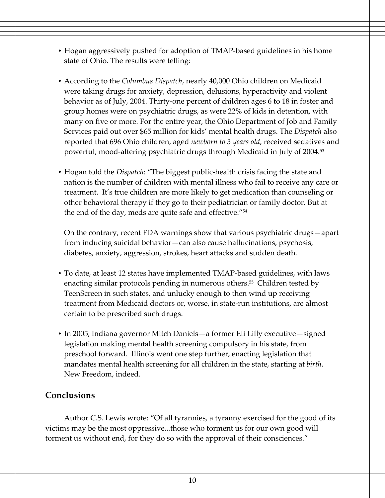- Hogan aggressively pushed for adoption of TMAP-based guidelines in his home state of Ohio. The results were telling:
- According to the *Columbus Dispatch*, nearly 40,000 Ohio children on Medicaid were taking drugs for anxiety, depression, delusions, hyperactivity and violent behavior as of July, 2004. Thirty‐one percent of children ages 6 to 18 in foster and group homes were on psychiatric drugs, as were 22% of kids in detention, with many on five or more. For the entire year, the Ohio Department of Job and Family Services paid out over \$65 million for kids' mental health drugs. The *Dispatch* also reported that 696 Ohio children, aged *newborn to 3 years old*, received sedatives and powerful, mood-altering psychiatric drugs through Medicaid in July of 2004.<sup>53</sup>
- Hogan told the *Dispatch*: "The biggest public‐health crisis facing the state and nation is the number of children with mental illness who fail to receive any care or treatment. It's true children are more likely to get medication than counseling or other behavioral therapy if they go to their pediatrician or family doctor. But at the end of the day, meds are quite safe and effective."54

On the contrary, recent FDA warnings show that various psychiatric drugs—apart from inducing suicidal behavior—can also cause hallucinations, psychosis, diabetes, anxiety, aggression, strokes, heart attacks and sudden death.

- To date, at least 12 states have implemented TMAP-based guidelines, with laws enacting similar protocols pending in numerous others.<sup>55</sup> Children tested by TeenScreen in such states, and unlucky enough to then wind up receiving treatment from Medicaid doctors or, worse, in state‐run institutions, are almost certain to be prescribed such drugs.
- In 2005, Indiana governor Mitch Daniels—a former Eli Lilly executive—signed legislation making mental health screening compulsory in his state, from preschool forward. Illinois went one step further, enacting legislation that mandates mental health screening for all children in the state, starting at *birth*. New Freedom, indeed.

### **Conclusions**

Author C.S. Lewis wrote: "Of all tyrannies, a tyranny exercised for the good of its victims may be the most oppressive...those who torment us for our own good will torment us without end, for they do so with the approval of their consciences."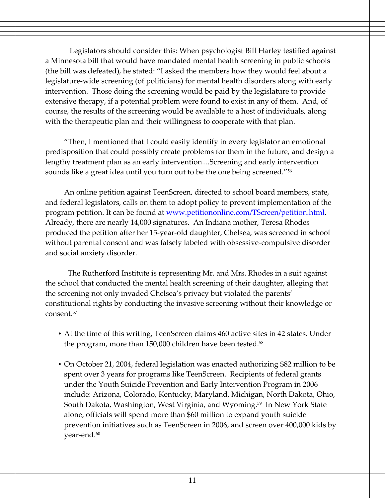Legislators should consider this: When psychologist Bill Harley testified against a Minnesota bill that would have mandated mental health screening in public schools (the bill was defeated), he stated: "I asked the members how they would feel about a legislature‐wide screening (of politicians) for mental health disorders along with early intervention. Those doing the screening would be paid by the legislature to provide extensive therapy, if a potential problem were found to exist in any of them. And, of course, the results of the screening would be available to a host of individuals, along with the therapeutic plan and their willingness to cooperate with that plan.

"Then, I mentioned that I could easily identify in every legislator an emotional predisposition that could possibly create problems for them in the future, and design a lengthy treatment plan as an early intervention....Screening and early intervention sounds like a great idea until you turn out to be the one being screened."56

An online petition against TeenScreen, directed to school board members, state, and federal legislators, calls on them to adopt policy to prevent implementation of the program petition. It can be found at www.petitiononline.com/TScreen/petition.html. Already, there are nearly 14,000 signatures. An Indiana mother, Teresa Rhodes produced the petition after her 15‐year‐old daughter, Chelsea, was screened in school without parental consent and was falsely labeled with obsessive‐compulsive disorder and social anxiety disorder.

The Rutherford Institute is representing Mr. and Mrs. Rhodes in a suit against the school that conducted the mental health screening of their daughter, alleging that the screening not only invaded Chelsea's privacy but violated the parents' constitutional rights by conducting the invasive screening without their knowledge or consent.57

- At the time of this writing, TeenScreen claims 460 active sites in 42 states. Under the program, more than 150,000 children have been tested.<sup>58</sup>
- On October 21, 2004, federal legislation was enacted authorizing \$82 million to be spent over 3 years for programs like TeenScreen. Recipients of federal grants under the Youth Suicide Prevention and Early Intervention Program in 2006 include: Arizona, Colorado, Kentucky, Maryland, Michigan, North Dakota, Ohio, South Dakota, Washington, West Virginia, and Wyoming.<sup>59</sup> In New York State alone, officials will spend more than \$60 million to expand youth suicide prevention initiatives such as TeenScreen in 2006, and screen over 400,000 kids by year-end.<sup>60</sup>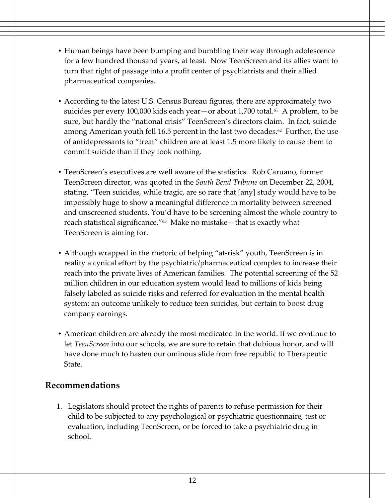- Human beings have been bumping and bumbling their way through adolescence for a few hundred thousand years, at least. Now TeenScreen and its allies want to turn that right of passage into a profit center of psychiatrists and their allied pharmaceutical companies.
- According to the latest U.S. Census Bureau figures, there are approximately two suicides per every 100,000 kids each year—or about 1,700 total.<sup>61</sup> A problem, to be sure, but hardly the "national crisis" TeenScreen's directors claim. In fact, suicide among American youth fell 16.5 percent in the last two decades.<sup>62</sup> Further, the use of antidepressants to "treat" children are at least 1.5 more likely to cause them to commit suicide than if they took nothing.
- TeenScreen's executives are well aware of the statistics. Rob Caruano, former TeenScreen director, was quoted in the *South Bend Tribune* on December 22, 2004, stating, "Teen suicides, while tragic, are so rare that [any] study would have to be impossibly huge to show a meaningful difference in mortality between screened and unscreened students. You'd have to be screening almost the whole country to reach statistical significance."63 Make no mistake—that is exactly what TeenScreen is aiming for.
- Although wrapped in the rhetoric of helping "at-risk" youth, TeenScreen is in reality a cynical effort by the psychiatric/pharmaceutical complex to increase their reach into the private lives of American families. The potential screening of the 52 million children in our education system would lead to millions of kids being falsely labeled as suicide risks and referred for evaluation in the mental health system: an outcome unlikely to reduce teen suicides, but certain to boost drug company earnings.
- American children are already the most medicated in the world. If we continue to let *TeenScreen* into our schools, we are sure to retain that dubious honor, and will have done much to hasten our ominous slide from free republic to Therapeutic State.

#### **Recommendations**

1. Legislators should protect the rights of parents to refuse permission for their child to be subjected to any psychological or psychiatric questionnaire, test or evaluation, including TeenScreen, or be forced to take a psychiatric drug in school.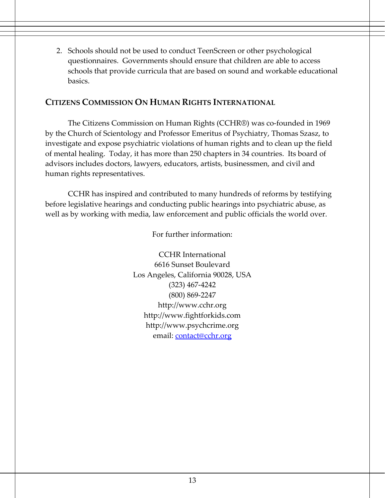2. Schools should not be used to conduct TeenScreen or other psychological questionnaires. Governments should ensure that children are able to access schools that provide curricula that are based on sound and workable educational basics.

#### **CITIZENS COMMISSION ON HUMAN RIGHTS INTERNATIONAL**

The Citizens Commission on Human Rights (CCHR®) was co‐founded in 1969 by the Church of Scientology and Professor Emeritus of Psychiatry, Thomas Szasz, to investigate and expose psychiatric violations of human rights and to clean up the field of mental healing. Today, it has more than 250 chapters in 34 countries. Its board of advisors includes doctors, lawyers, educators, artists, businessmen, and civil and human rights representatives.

CCHR has inspired and contributed to many hundreds of reforms by testifying before legislative hearings and conducting public hearings into psychiatric abuse, as well as by working with media, law enforcement and public officials the world over.

For further information:

CCHR International 6616 Sunset Boulevard Los Angeles, California 90028, USA (323) 467‐4242 (800) 869‐2247 http://www.cchr.org http://www.fightforkids.com http://www.psychcrime.org email: contact@cchr.org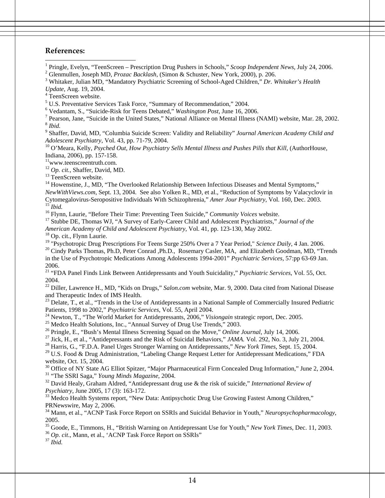#### **References:**

 $\overline{\phantom{a}}$ 

<sup>1</sup> Pringle, Evelyn, "TeenScreen – Prescription Drug Pushers in Schools," *Scoop Independent News*, July 24, 2006.

<sup>2</sup> Glenmullen, Joseph MD, *Prozac Backlash*, (Simon & Schuster, New York, 2000), p. 206.

 Whitaker, Julian MD, "Mandatory Psychiatric Screening of School-Aged Children," *Dr. Whitaker's Health Update*, Aug. 19, 2004. 4

<sup>4</sup> TeenScreen website.

<sup>5</sup> U.S. Preventative Services Task Force, "Summary of Recommendation," 2004.

<sup>6</sup> Vedantam, S., "Suicide-Risk for Teens Debated," *Washington Post, June 16, 2006.*<br><sup>7</sup> Pearson, Jane, "Suicide in the United States," National Alliance on Mantel Illness (*C*)

Pearson, Jane, "Suicide in the United States," National Alliance on Mental Illness (NAMI) website, Mar. 28, 2002. 8 *Ibid.*

9 Shaffer, David, MD, "Columbia Suicide Screen: Validity and Reliability" *Journal American Academy Child and Adolescent Psychiatry*, Vol. 43, pp. 71-79, 2004.<br><sup>10</sup> O'Meara, Kelly, *Psyched Out, How Psychiatry Sells Mental Illness and Pushes Pills that Kill, (AuthorHouse,* 

Indiana, 2006), pp. 157-158.

11www.teenscreentruth.com.

<sup>12</sup> *Op. cit.*, Shaffer, David, MD.<br><sup>13</sup> TeenScreen website.

<sup>14</sup> Howenstine, J., MD, "The Overlooked Relationship Between Infectious Diseases and Mental Symptoms," *NewWithViews.com*, Sept. 13, 2004. See also Yolken R., MD, et al., "Reduction of Symptoms by Valacyclovir in Cytomegalovirus-Seropositive Individuals With Schizophrenia," *Amer Jour Psychiatry*, Vol. 160, Dec. 2003.<br><sup>15</sup> *Ibid.*<br><sup>16</sup> Flynn, Laurie, "Before Their Time: Preventing Teen Suicide," *Community Voices* website.

<sup>17</sup> Stubbe DE, Thomas WJ, "A Survey of Early-Career Child and Adolescent Psychiatrists," *Journal of the* 

*American Academy of Child and Adolescent Psychiatry,* Vol. 41, pp. 123-130, May 2002.<br><sup>18</sup> Op. cit., Flynn Laurie.<br><sup>19</sup> "Psychotropic Drug Prescriptions For Teens Surge 250% Over a 7 Year Period," *Science Daily*, 4 Jan.

<sup>20</sup> Cindy Parks Thomas, Ph.D, Peter Conrad ,Ph.D., Rosemary Casler, MA, and Elizabeth Goodman, MD, "Trends in the Use of Psychotropic Medications Among Adolescents 1994-2001" *Psychiatric Services,* 57:pp 63-69 Jan. 2006.

21 "FDA Panel Finds Link Between Antidepressants and Youth Suicidality," *Psychiatric Services*, Vol. 55, Oct. 2004.

<sup>22</sup> Diller, Lawrence H., MD, "Kids on Drugs," *Salon.com* website, Mar. 9, 2000. Data cited from National Disease and Therapeutic Index of IMS Health.

<sup>23</sup> Delate, T., et al., "Trends in the Use of Antidepressants in a National Sample of Commercially Insured Pediatric Patients, 1998 to 2002," *Psychiatric Services*, Vol. 55, April 2004.

<sup>24</sup> Newton, T., "The World Market for Antidepressants, 2006," *Visiongain* strategic report, Dec. 2005.<br><sup>25</sup> Medco Health Solutions, Inc., "Annual Survey of Drug Use Trends," 2003.<br><sup>26</sup> Pringle, E., "Bush's Mental Illnes

<sup>27</sup> Jick, H., et al., "Antidepressants and the Risk of Suicidal Behaviors," *JAMA*. Vol. 292, No. 3, July 21, 2004.<br><sup>28</sup> Harris, G., "F.D.A. Panel Urges Stronger Warning on Antidepressants," *New York Times*, Sept. 15, 2

<sup>29</sup> U.S. Food & Drug Administration, "Labeling Change Request Letter for Antidepressant Medications," FDA website, Oct. 15, 2004.

<sup>30</sup> Office of NY State AG Elliot Spitzer, "Major Pharmaceutical Firm Concealed Drug Information," June 2, 2004.<br><sup>31</sup> "The SSRI Saga," *Young Minds Magazine*, 2004.<br><sup>32</sup> David Healy, Graham Aldred, "Antidepressant drug us

<sup>33</sup> Medco Health Systems report, "New Data: Antipsychotic Drug Use Growing Fastest Among Children," PRNewswire, May 2, 2006.

34 Mann, et al., "ACNP Task Force Report on SSRIs and Suicidal Behavior in Youth," *Neuropsychopharmacology*, 2005.

<sup>35</sup> Goode, E., Timmons, H., "British Warning on Antidepressant Use for Youth," *New York Times*, Dec. 11, 2003.<br><sup>36</sup> *Op. cit.*, Mann, et al., 'ACNP Task Force Report on SSRIs" *Ibid.*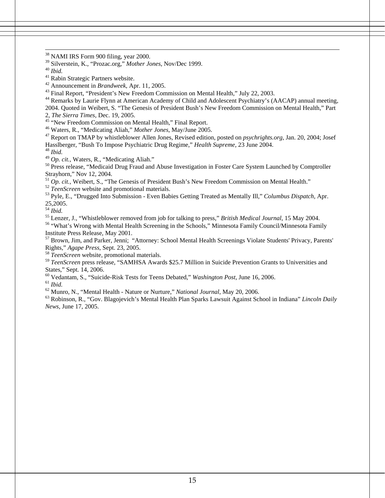38 NAMI IRS Form 900 filing, year 2000.

39 Silverstein, K., "Prozac.org," *Mother Jones*, Nov/Dec 1999. 40 *Ibid.*

<sup>41</sup> Rabin Strategic Partners website.<br><sup>42</sup> Announcement in *Brandweek*, Apr. 11, 2005.

<sup>43</sup> Final Report, "President's New Freedom Commission on Mental Health," July 22, 2003.

<sup>44</sup> Remarks by Laurie Flynn at American Academy of Child and Adolescent Psychiatry's (AACAP) annual meeting, 2004. Quoted in Weibert, S. "The Genesis of President Bush's New Freedom Commission on Mental Health," Part

2, *The Sierra Times*, Dec. 19, 2005.<br><sup>45</sup> "New Freedom Commission on Mental Health," Final Report.<br><sup>46</sup> Waters, R., "Medicating Aliah," *Mother Jones*, May/June 2005.

<sup>47</sup> Report on TMAP by whistleblower Allen Jones, Revised edition, posted on *psychrights.org*, Jan. 20, 2004; Josef Hasslberger, "Bush To Impose Psychiatric Drug Regime," *Health Supreme*, 23 June 2004.<br><sup>48</sup> *Ibid. A*<sup>9</sup> *Op. cit.*, Waters, R., "Medicating Aliah."

<sup>50</sup> Press release, "Medicaid Drug Fraud and Abuse Investigation in Foster Care System Launched by Comptroller Strayhorn," Nov 12, 2004.<br>
<sup>51</sup> Op. cit., Weibert, S., "The Genesis of President Bush's New Freedom Commission on Mental Health."

 $\frac{52}{T}$  TeenScreen website and promotional materials.<br><sup>53</sup> Pyle, E., "Drugged Into Submission - Even Babies Getting Treated as Mentally Ill," *Columbus Dispatch*, Apr. 25,2005.

<sup>54</sup> *Ibid.*<br><sup>55</sup> Lenzer, J., "Whistleblower removed from job for talking to press," *British Medical Journal*, 15 May 2004.

<sup>56</sup> "What's Wrong with Mental Health Screening in the Schools," Minnesota Family Council/Minnesota Family Institute Press Release, May 2001.

<sup>57</sup> Brown, Jim, and Parker, Jenni; "Attorney: School Mental Health Screenings Violate Students' Privacy, Parents' Rights," Agape Press, Sept. 23, 2005.

<sup>58</sup> *TeenScreen* website, promotional materials.

<sup>59</sup> *TeenScreen* press release, "SAMHSA Awards \$25.7 Million in Suicide Prevention Grants to Universities and States," Sept. 14, 2006.

<sup>60</sup> Vedantam, S., "Suicide-Risk Tests for Teens Debated," *Washington Post*, June 16, 2006.<br>
<sup>61</sup> *Ibid.* <sup>62</sup> Munro, N., "Mental Health - Nature or Nurture," *National Journal*, May 20, 2006.

<sup>63</sup> Robinson, R., "Gov. Blagojevich's Mental Health Plan Sparks Lawsuit Against School in Indiana" *Lincoln Daily News*, June 17, 2005.